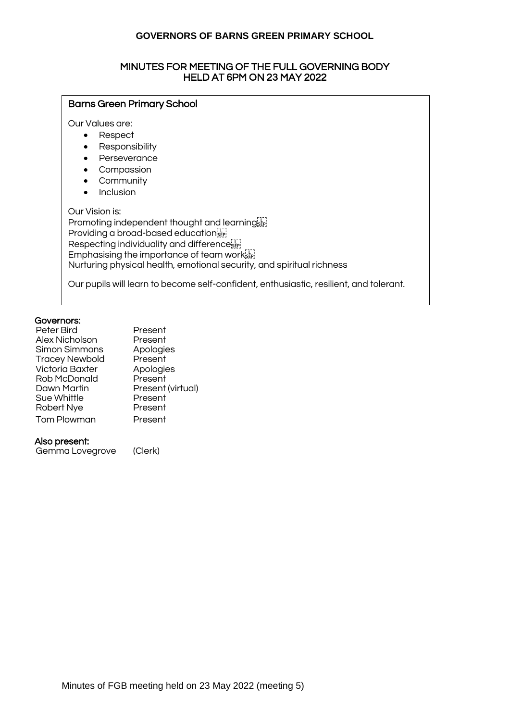#### MINUTES FOR MEETING OF THE FULL GOVERNING BODY HELD AT 6PM ON 23 MAY 2022

## Barns Green Primary School

Our Values are:

- Respect
- Responsibility
- Perseverance
- Compassion
- Community
- Inclusion

Our Vision is: Promoting independent thought and learning sep-Providing a broad-based educationsEP Respecting individuality and difference<sup>[11]</sup> Emphasising the importance of team work ET Nurturing physical health, emotional security, and spiritual richness

Our pupils will learn to become self-confident, enthusiastic, resilient, and tolerant.

#### Governors:

| Peter Bird             | Present           |
|------------------------|-------------------|
| Alex Nicholson         | Present           |
| Simon Simmons          | Apologies         |
| <b>Tracey Newbold</b>  | Present           |
| <b>Victoria Baxter</b> | Apologies         |
| Rob McDonald           | Present           |
| Dawn Martin            | Present (virtual) |
| Sue Whittle            | Present           |
| Robert Nye             | Present           |
| <b>Tom Plowman</b>     | Present           |
|                        |                   |

#### Also present:

Gemma Lovegrove (Clerk)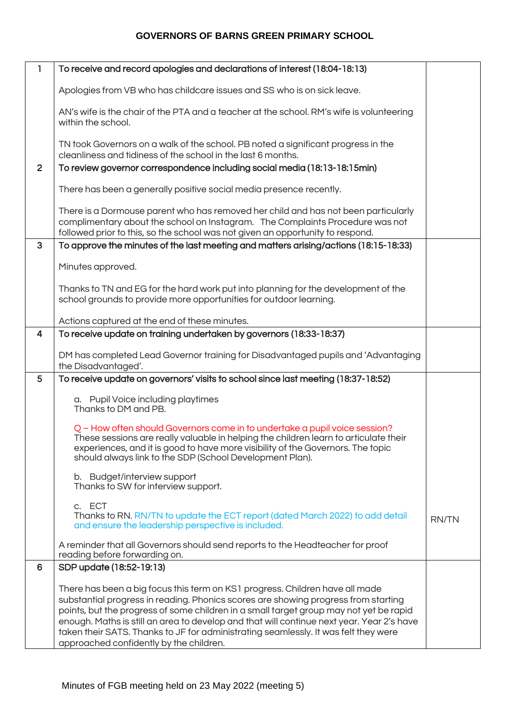| L              | To receive and record apologies and declarations of interest (18:04-18:13)                                                                                                                                                                                                                                                                                                                                                                                                                  |              |
|----------------|---------------------------------------------------------------------------------------------------------------------------------------------------------------------------------------------------------------------------------------------------------------------------------------------------------------------------------------------------------------------------------------------------------------------------------------------------------------------------------------------|--------------|
|                | Apologies from VB who has childcare issues and SS who is on sick leave.                                                                                                                                                                                                                                                                                                                                                                                                                     |              |
|                | AN's wife is the chair of the PTA and a teacher at the school. RM's wife is volunteering<br>within the school.                                                                                                                                                                                                                                                                                                                                                                              |              |
|                | TN took Governors on a walk of the school. PB noted a significant progress in the<br>cleanliness and tidiness of the school in the last 6 months.                                                                                                                                                                                                                                                                                                                                           |              |
| $\overline{2}$ | To review governor correspondence including social media (18:13-18:15min)                                                                                                                                                                                                                                                                                                                                                                                                                   |              |
|                | There has been a generally positive social media presence recently.                                                                                                                                                                                                                                                                                                                                                                                                                         |              |
|                | There is a Dormouse parent who has removed her child and has not been particularly<br>complimentary about the school on Instagram. The Complaints Procedure was not<br>followed prior to this, so the school was not given an opportunity to respond.                                                                                                                                                                                                                                       |              |
| 3              | To approve the minutes of the last meeting and matters arising/actions (18:15-18:33)                                                                                                                                                                                                                                                                                                                                                                                                        |              |
|                | Minutes approved.                                                                                                                                                                                                                                                                                                                                                                                                                                                                           |              |
|                | Thanks to TN and EG for the hard work put into planning for the development of the<br>school grounds to provide more opportunities for outdoor learning.                                                                                                                                                                                                                                                                                                                                    |              |
|                | Actions captured at the end of these minutes.                                                                                                                                                                                                                                                                                                                                                                                                                                               |              |
| 4              | To receive update on training undertaken by governors (18:33-18:37)                                                                                                                                                                                                                                                                                                                                                                                                                         |              |
|                | DM has completed Lead Governor training for Disadvantaged pupils and 'Advantaging<br>the Disadvantaged'.                                                                                                                                                                                                                                                                                                                                                                                    |              |
| 5              | To receive update on governors' visits to school since last meeting (18:37-18:52)                                                                                                                                                                                                                                                                                                                                                                                                           |              |
|                | a. Pupil Voice including playtimes<br>Thanks to DM and PB.                                                                                                                                                                                                                                                                                                                                                                                                                                  |              |
|                | Q - How often should Governors come in to undertake a pupil voice session?<br>These sessions are really valuable in helping the children learn to articulate their<br>experiences, and it is good to have more visibility of the Governors. The topic<br>should always link to the SDP (School Development Plan).                                                                                                                                                                           |              |
|                | b. Budget/interview support<br>Thanks to SW for interview support.                                                                                                                                                                                                                                                                                                                                                                                                                          |              |
|                | c. ECT<br>Thanks to RN. RN/TN to update the ECT report (dated March 2022) to add detail<br>and ensure the leadership perspective is included.                                                                                                                                                                                                                                                                                                                                               | <b>RN/TN</b> |
|                | A reminder that all Governors should send reports to the Headteacher for proof<br>reading before forwarding on.                                                                                                                                                                                                                                                                                                                                                                             |              |
| 6              | SDP update (18:52-19:13)                                                                                                                                                                                                                                                                                                                                                                                                                                                                    |              |
|                | There has been a big focus this term on KS1 progress. Children have all made<br>substantial progress in reading. Phonics scores are showing progress from starting<br>points, but the progress of some children in a small target group may not yet be rapid<br>enough. Maths is still an area to develop and that will continue next year. Year 2's have<br>taken their SATS. Thanks to JF for administrating seamlessly. It was felt they were<br>approached confidently by the children. |              |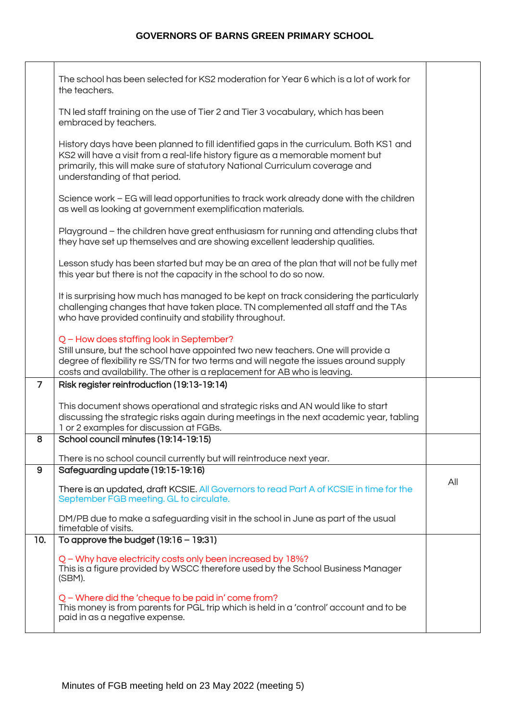|                | The school has been selected for KS2 moderation for Year 6 which is a lot of work for<br>the teachers.                                                                                                                                                                                             |     |
|----------------|----------------------------------------------------------------------------------------------------------------------------------------------------------------------------------------------------------------------------------------------------------------------------------------------------|-----|
|                | TN led staff training on the use of Tier 2 and Tier 3 vocabulary, which has been<br>embraced by teachers.                                                                                                                                                                                          |     |
|                | History days have been planned to fill identified gaps in the curriculum. Both KS1 and<br>KS2 will have a visit from a real-life history figure as a memorable moment but<br>primarily, this will make sure of statutory National Curriculum coverage and<br>understanding of that period.         |     |
|                | Science work – EG will lead opportunities to track work already done with the children<br>as well as looking at government exemplification materials.                                                                                                                                              |     |
|                | Playground - the children have great enthusiasm for running and attending clubs that<br>they have set up themselves and are showing excellent leadership qualities.                                                                                                                                |     |
|                | Lesson study has been started but may be an area of the plan that will not be fully met<br>this year but there is not the capacity in the school to do so now.                                                                                                                                     |     |
|                | It is surprising how much has managed to be kept on track considering the particularly<br>challenging changes that have taken place. TN complemented all staff and the TAs<br>who have provided continuity and stability throughout.                                                               |     |
|                | Q - How does staffing look in September?<br>Still unsure, but the school have appointed two new teachers. One will provide a<br>degree of flexibility re SS/TN for two terms and will negate the issues around supply<br>costs and availability. The other is a replacement for AB who is leaving. |     |
| $\overline{7}$ | Risk register reintroduction (19:13-19:14)                                                                                                                                                                                                                                                         |     |
|                | This document shows operational and strategic risks and AN would like to start<br>discussing the strategic risks again during meetings in the next academic year, tabling<br>1 or 2 examples for discussion at FGBs.                                                                               |     |
| 8              | School council minutes (19:14-19:15)                                                                                                                                                                                                                                                               |     |
|                | There is no school council currently but will reintroduce next year.                                                                                                                                                                                                                               |     |
| 9              | Safeguarding update (19:15-19:16)<br>There is an updated, draft KCSIE. All Governors to read Part A of KCSIE in time for the<br>September FGB meeting. GL to circulate.                                                                                                                            | All |
|                | DM/PB due to make a safeguarding visit in the school in June as part of the usual<br>timetable of visits.                                                                                                                                                                                          |     |
| 10.            | To approve the budget $(19:16 - 19:31)$                                                                                                                                                                                                                                                            |     |
|                | Q - Why have electricity costs only been increased by 18%?<br>This is a figure provided by WSCC therefore used by the School Business Manager<br>(SBM).                                                                                                                                            |     |
|                | Q – Where did the 'cheque to be paid in' come from?<br>This money is from parents for PGL trip which is held in a 'control' account and to be<br>paid in as a negative expense.                                                                                                                    |     |
|                |                                                                                                                                                                                                                                                                                                    |     |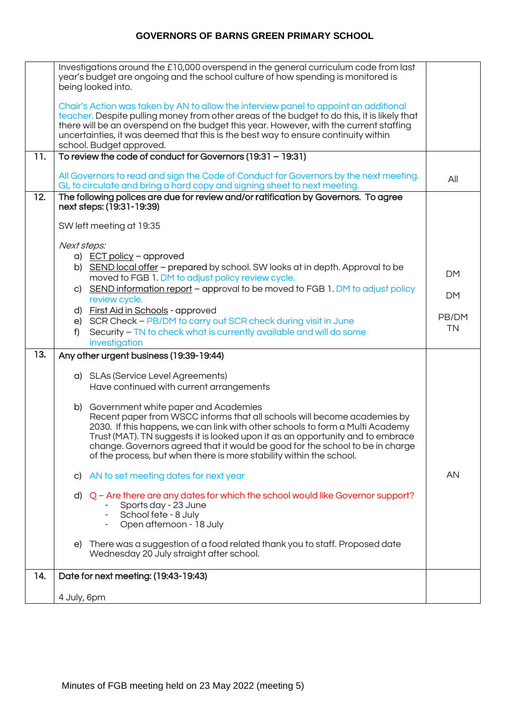|     | Investigations around the £10,000 overspend in the general curriculum code from last<br>year's budget are ongoing and the school culture of how spending is monitored is<br>being looked into.                                                                                                                                                                                                  |           |
|-----|-------------------------------------------------------------------------------------------------------------------------------------------------------------------------------------------------------------------------------------------------------------------------------------------------------------------------------------------------------------------------------------------------|-----------|
|     | Chair's Action was taken by AN to allow the interview panel to appoint an additional<br>teacher. Despite pulling money from other areas of the budget to do this, it is likely that<br>there will be an overspend on the budget this year. However, with the current staffing<br>uncertainties, it was deemed that this is the best way to ensure continuity within<br>school. Budget approved. |           |
| 11. | To review the code of conduct for Governors (19:31 - 19:31)                                                                                                                                                                                                                                                                                                                                     |           |
|     | All Governors to read and sign the Code of Conduct for Governors by the next meeting.<br>GL to circulate and bring a hard copy and signing sheet to next meeting.                                                                                                                                                                                                                               | All       |
| 12. | The following polices are due for review and/or ratification by Governors. To agree<br>next steps: (19:31-19:39)                                                                                                                                                                                                                                                                                |           |
|     | SW left meeting at 19:35                                                                                                                                                                                                                                                                                                                                                                        |           |
|     | Next steps:                                                                                                                                                                                                                                                                                                                                                                                     |           |
|     | a) ECT policy - approved                                                                                                                                                                                                                                                                                                                                                                        |           |
|     | b) SEND local offer - prepared by school. SW looks at in depth. Approval to be<br>moved to FGB 1. DM to adjust policy review cycle.                                                                                                                                                                                                                                                             | <b>DM</b> |
|     | c) SEND information report - approval to be moved to FGB 1. DM to adjust policy                                                                                                                                                                                                                                                                                                                 | <b>DM</b> |
|     | review cycle.<br>d) First Aid in Schools - approved                                                                                                                                                                                                                                                                                                                                             |           |
|     | e) SCR Check - PB/DM to carry out SCR check during visit in June                                                                                                                                                                                                                                                                                                                                | PB/DM     |
|     | Security - TN to check what is currently available and will do some<br>f)<br>investigation                                                                                                                                                                                                                                                                                                      | <b>TN</b> |
| 13. | Any other urgent business (19:39-19:44)                                                                                                                                                                                                                                                                                                                                                         |           |
|     | a) SLAs (Service Level Agreements)                                                                                                                                                                                                                                                                                                                                                              |           |
|     | Have continued with current arrangements                                                                                                                                                                                                                                                                                                                                                        |           |
|     |                                                                                                                                                                                                                                                                                                                                                                                                 |           |
|     | b) Government white paper and Academies<br>Recent paper from WSCC informs that all schools will become academies by                                                                                                                                                                                                                                                                             |           |
|     | 2030. If this happens, we can link with other schools to form a Multi Academy                                                                                                                                                                                                                                                                                                                   |           |
|     | Trust (MAT). TN suggests it is looked upon it as an opportunity and to embrace<br>change. Governors agreed that it would be good for the school to be in charge                                                                                                                                                                                                                                 |           |
|     | of the process, but when there is more stability within the school.                                                                                                                                                                                                                                                                                                                             |           |
|     | AN to set meeting dates for next year<br>C)                                                                                                                                                                                                                                                                                                                                                     | AN        |
|     | d) $Q$ – Are there are any dates for which the school would like Governor support?                                                                                                                                                                                                                                                                                                              |           |
|     | Sports day - 23 June<br>School fete - 8 July                                                                                                                                                                                                                                                                                                                                                    |           |
|     | Open afternoon - 18 July                                                                                                                                                                                                                                                                                                                                                                        |           |
|     | There was a suggestion of a food related thank you to staff. Proposed date<br>e)<br>Wednesday 20 July straight after school.                                                                                                                                                                                                                                                                    |           |
| 14. | Date for next meeting: (19:43-19:43)                                                                                                                                                                                                                                                                                                                                                            |           |
|     | 4 July, 6pm                                                                                                                                                                                                                                                                                                                                                                                     |           |
|     |                                                                                                                                                                                                                                                                                                                                                                                                 |           |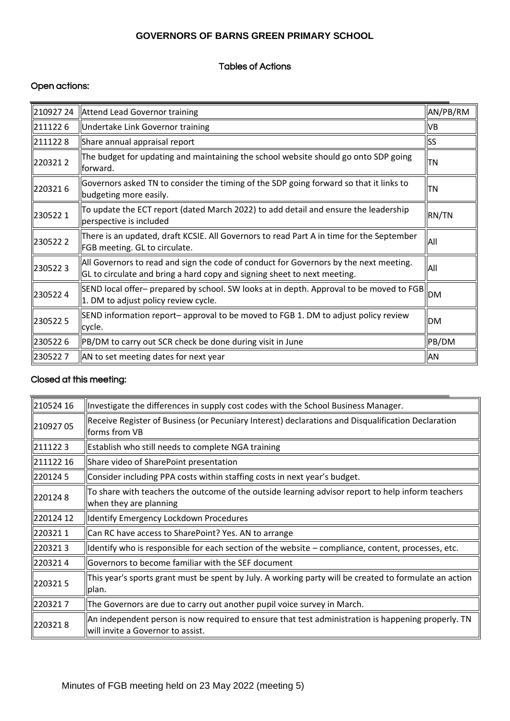## Tables of Actions

## Open actions:

| 210927 24 | Attend Lead Governor training                                                                                                                                     | AN/PB/RM  |
|-----------|-------------------------------------------------------------------------------------------------------------------------------------------------------------------|-----------|
| 2111226   | Undertake Link Governor training                                                                                                                                  | VB        |
| 2111228   | Share annual appraisal report                                                                                                                                     | <b>SS</b> |
| 2203212   | The budget for updating and maintaining the school website should go onto SDP going<br>forward.                                                                   | TN        |
| 2203216   | Governors asked TN to consider the timing of the SDP going forward so that it links to<br>budgeting more easily.                                                  | <b>TN</b> |
| 2305221   | To update the ECT report (dated March 2022) to add detail and ensure the leadership<br>perspective is included                                                    | RN/TN     |
| 2305222   | There is an updated, draft KCSIE. All Governors to read Part A in time for the September<br>FGB meeting. GL to circulate.                                         | All       |
| 2305223   | All Governors to read and sign the code of conduct for Governors by the next meeting.<br>GL to circulate and bring a hard copy and signing sheet to next meeting. | All       |
| 2305224   | SEND local offer- prepared by school. SW looks at in depth. Approval to be moved to FGB<br>1. DM to adjust policy review cycle.                                   | <b>DM</b> |
| 2305225   | SEND information report-approval to be moved to FGB 1. DM to adjust policy review<br>cycle.                                                                       | <b>DM</b> |
| 2305226   | PB/DM to carry out SCR check be done during visit in June                                                                                                         | PB/DM     |
| 2305227   | AN to set meeting dates for next year                                                                                                                             | AN        |

#### Closed at this meeting:

| 210524 16 | Investigate the differences in supply cost codes with the School Business Manager.                                                      |
|-----------|-----------------------------------------------------------------------------------------------------------------------------------------|
| 210927 05 | Receive Register of Business (or Pecuniary Interest) declarations and Disqualification Declaration<br>forms from VB                     |
| 2111223   | Establish who still needs to complete NGA training                                                                                      |
| 211122 16 | Share video of SharePoint presentation                                                                                                  |
| 2201245   | Consider including PPA costs within staffing costs in next year's budget.                                                               |
| 2201248   | To share with teachers the outcome of the outside learning advisor report to help inform teachers<br>when they are planning             |
| 220124 12 | Identify Emergency Lockdown Procedures                                                                                                  |
| 2203211   | Can RC have access to SharePoint? Yes. AN to arrange                                                                                    |
| 2203213   | ldentify who is responsible for each section of the website – compliance, content, processes, etc.                                      |
| 2203214   | Governors to become familiar with the SEF document                                                                                      |
| 2203215   | This year's sports grant must be spent by July. A working party will be created to formulate an action<br>plan.                         |
| 2203217   | The Governors are due to carry out another pupil voice survey in March.                                                                 |
| 2203218   | An independent person is now required to ensure that test administration is happening properly. TN<br>will invite a Governor to assist. |